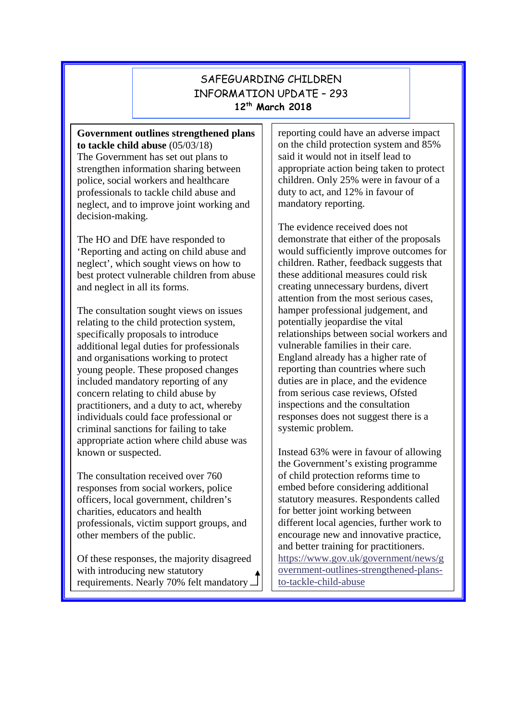## SAFEGUARDING CHILDREN INFORMATION UPDATE – 293 **12th March 2018**

**Government outlines strengthened plans to tackle child abuse** (05/03/18) The Government has set out plans to strengthen information sharing between police, social workers and healthcare professionals to tackle child abuse and neglect, and to improve joint working and decision-making.

The HO and DfE have responded to 'Reporting and acting on child abuse and neglect', which sought views on how to best protect vulnerable children from abuse and neglect in all its forms.

The consultation sought views on issues relating to the child protection system, specifically proposals to introduce additional legal duties for professionals and organisations working to protect young people. These proposed changes included mandatory reporting of any concern relating to child abuse by practitioners, and a duty to act, whereby individuals could face professional or criminal sanctions for failing to take appropriate action where child abuse was known or suspected.

The consultation received over 760 responses from social workers, police officers, local government, children's charities, educators and health professionals, victim support groups, and other members of the public.

Of these responses, the majority disagreed with introducing new statutory requirements. Nearly 70% felt mandatory reporting could have an adverse impact on the child protection system and 85% said it would not in itself lead to appropriate action being taken to protect children. Only 25% were in favour of a duty to act, and 12% in favour of mandatory reporting.

The evidence received does not demonstrate that either of the proposals would sufficiently improve outcomes for children. Rather, feedback suggests that these additional measures could risk creating unnecessary burdens, divert attention from the most serious cases, hamper professional judgement, and potentially jeopardise the vital relationships between social workers and vulnerable families in their care. England already has a higher rate of reporting than countries where such duties are in place, and the evidence from serious case reviews, Ofsted inspections and the consultation responses does not suggest there is a systemic problem.

Instead 63% were in favour of allowing the Government's existing programme of child protection reforms time to embed before considering additional statutory measures. Respondents called for better joint working between different local agencies, further work to encourage new and innovative practice, and better training for practitioners. [https://www.gov.uk/government/news/g](https://www.gov.uk/government/news/government-outlines-strengthened-plans-to-tackle-child-abuse) [overnment-outlines-strengthened-plans](https://www.gov.uk/government/news/government-outlines-strengthened-plans-to-tackle-child-abuse)[to-tackle-child-abuse](https://www.gov.uk/government/news/government-outlines-strengthened-plans-to-tackle-child-abuse)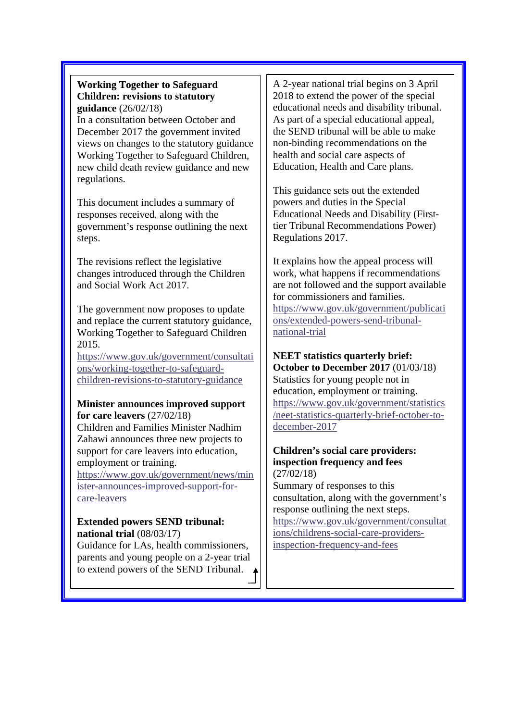#### **Working Together to Safeguard Children: revisions to statutory guidance** (26/02/18)

In a consultation between October and December 2017 the government invited views on changes to the statutory guidance Working Together to Safeguard Children, new child death review guidance and new regulations.

This document includes a summary of responses received, along with the government's response outlining the next steps.

The revisions reflect the legislative changes introduced through the Children and Social Work Act 2017.

The government now proposes to update and replace the current statutory guidance, Working Together to Safeguard Children 2015.

[https://www.gov.uk/government/consultati](https://www.gov.uk/government/consultations/working-together-to-safeguard-children-revisions-to-statutory-guidance) [ons/working-together-to-safeguard](https://www.gov.uk/government/consultations/working-together-to-safeguard-children-revisions-to-statutory-guidance)[children-revisions-to-statutory-guidance](https://www.gov.uk/government/consultations/working-together-to-safeguard-children-revisions-to-statutory-guidance)

#### **Minister announces improved support for care leavers** (27/02/18)

Children and Families Minister Nadhim Zahawi announces three new projects to support for care leavers into education, employment or training.

[https://www.gov.uk/government/news/min](https://www.gov.uk/government/news/minister-announces-improved-support-for-care-leavers) [ister-announces-improved-support-for](https://www.gov.uk/government/news/minister-announces-improved-support-for-care-leavers)[care-leavers](https://www.gov.uk/government/news/minister-announces-improved-support-for-care-leavers)

#### **Extended powers SEND tribunal: national trial** (08/03/17)

Guidance for LAs, health commissioners, parents and young people on a 2-year trial to extend powers of the SEND Tribunal.

A 2-year national trial begins on 3 April 2018 to extend the power of the special educational needs and disability tribunal. As part of a special educational appeal, the SEND tribunal will be able to make non-binding recommendations on the health and social care aspects of Education, Health and Care plans.

This guidance sets out the extended powers and duties in the Special Educational Needs and Disability (Firsttier Tribunal Recommendations Power) Regulations 2017.

It explains how the appeal process will work, what happens if recommendations are not followed and the support available for commissioners and families. [https://www.gov.uk/government/publicati](https://www.gov.uk/government/publications/extended-powers-send-tribunal-national-trial) [ons/extended-powers-send-tribunal](https://www.gov.uk/government/publications/extended-powers-send-tribunal-national-trial)[national-trial](https://www.gov.uk/government/publications/extended-powers-send-tribunal-national-trial)

# **NEET statistics quarterly brief:**

**October to December 2017** (01/03/18) Statistics for young people not in education, employment or training. [https://www.gov.uk/government/statistics](https://www.gov.uk/government/statistics/neet-statistics-quarterly-brief-october-to-december-2017) [/neet-statistics-quarterly-brief-october-to](https://www.gov.uk/government/statistics/neet-statistics-quarterly-brief-october-to-december-2017)[december-2017](https://www.gov.uk/government/statistics/neet-statistics-quarterly-brief-october-to-december-2017)

#### **Children's social care providers: inspection frequency and fees** (27/02/18)

Summary of responses to this consultation, along with the government's response outlining the next steps. [https://www.gov.uk/government/consultat](https://www.gov.uk/government/consultations/childrens-social-care-providers-inspection-frequency-and-fees) [ions/childrens-social-care-providers](https://www.gov.uk/government/consultations/childrens-social-care-providers-inspection-frequency-and-fees)[inspection-frequency-and-fees](https://www.gov.uk/government/consultations/childrens-social-care-providers-inspection-frequency-and-fees)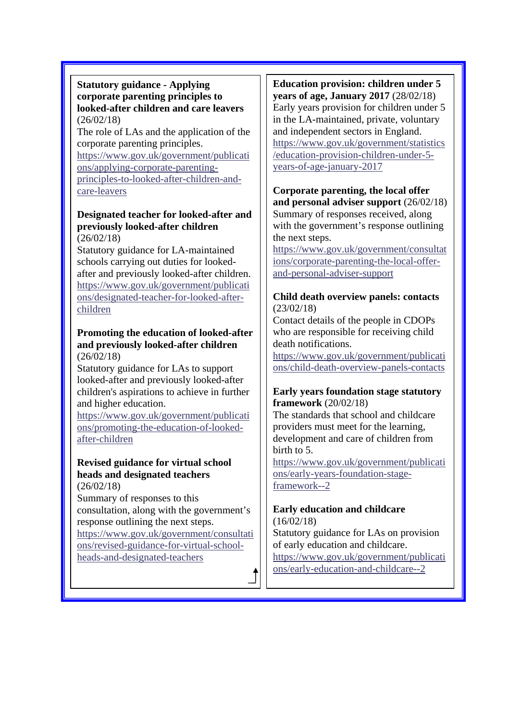#### **Statutory guidance - Applying corporate parenting principles to looked-after children and care leavers** (26/02/18)

The role of LAs and the application of the corporate parenting principles. [https://www.gov.uk/government/publicati](https://www.gov.uk/government/publications/applying-corporate-parenting-principles-to-looked-after-children-and-care-leavers) [ons/applying-corporate-parenting](https://www.gov.uk/government/publications/applying-corporate-parenting-principles-to-looked-after-children-and-care-leavers)[principles-to-looked-after-children-and](https://www.gov.uk/government/publications/applying-corporate-parenting-principles-to-looked-after-children-and-care-leavers)[care-leavers](https://www.gov.uk/government/publications/applying-corporate-parenting-principles-to-looked-after-children-and-care-leavers)

#### **Designated teacher for looked-after and previously looked-after children** (26/02/18)

Statutory guidance for LA-maintained schools carrying out duties for lookedafter and previously looked-after children. [https://www.gov.uk/government/publicati](https://www.gov.uk/government/publications/designated-teacher-for-looked-after-children) [ons/designated-teacher-for-looked-after](https://www.gov.uk/government/publications/designated-teacher-for-looked-after-children)[children](https://www.gov.uk/government/publications/designated-teacher-for-looked-after-children)

#### **Promoting the education of looked-after and previously looked-after children** (26/02/18)

Statutory guidance for LAs to support looked-after and previously looked-after children's aspirations to achieve in further and higher education.

[https://www.gov.uk/government/publicati](https://www.gov.uk/government/publications/promoting-the-education-of-looked-after-children) [ons/promoting-the-education-of-looked](https://www.gov.uk/government/publications/promoting-the-education-of-looked-after-children)[after-children](https://www.gov.uk/government/publications/promoting-the-education-of-looked-after-children)

#### **Revised guidance for virtual school heads and designated teachers** (26/02/18)

Summary of responses to this consultation, along with the government's response outlining the next steps. [https://www.gov.uk/government/consultati](https://www.gov.uk/government/consultations/revised-guidance-for-virtual-school-heads-and-designated-teachers) [ons/revised-guidance-for-virtual-school](https://www.gov.uk/government/consultations/revised-guidance-for-virtual-school-heads-and-designated-teachers)[heads-and-designated-teachers](https://www.gov.uk/government/consultations/revised-guidance-for-virtual-school-heads-and-designated-teachers)

**Education provision: children under 5 years of age, January 2017** (28/02/18) Early years provision for children under 5 in the LA-maintained, private, voluntary and independent sectors in England. [https://www.gov.uk/government/statistics](https://www.gov.uk/government/statistics/education-provision-children-under-5-years-of-age-january-2017) [/education-provision-children-under-5](https://www.gov.uk/government/statistics/education-provision-children-under-5-years-of-age-january-2017) [years-of-age-january-2017](https://www.gov.uk/government/statistics/education-provision-children-under-5-years-of-age-january-2017)

## **Corporate parenting, the local offer and personal adviser support** (26/02/18)

Summary of responses received, along with the government's response outlining the next steps.

[https://www.gov.uk/government/consultat](https://www.gov.uk/government/consultations/corporate-parenting-the-local-offer-and-personal-adviser-support) [ions/corporate-parenting-the-local-offer](https://www.gov.uk/government/consultations/corporate-parenting-the-local-offer-and-personal-adviser-support)[and-personal-adviser-support](https://www.gov.uk/government/consultations/corporate-parenting-the-local-offer-and-personal-adviser-support)

#### **Child death overview panels: contacts** (23/02/18)

Contact details of the people in CDOPs who are responsible for receiving child death notifications.

[https://www.gov.uk/government/publicati](https://www.gov.uk/government/publications/child-death-overview-panels-contacts) [ons/child-death-overview-panels-contacts](https://www.gov.uk/government/publications/child-death-overview-panels-contacts)

#### **Early years foundation stage statutory framework** (20/02/18)

The standards that school and childcare providers must meet for the learning, development and care of children from birth to 5.

[https://www.gov.uk/government/publicati](https://www.gov.uk/government/publications/early-years-foundation-stage-framework--2) [ons/early-years-foundation-stage](https://www.gov.uk/government/publications/early-years-foundation-stage-framework--2)[framework--2](https://www.gov.uk/government/publications/early-years-foundation-stage-framework--2)

#### **Early education and childcare**  $(16/02/18)$

Statutory guidance for LAs on provision of early education and childcare. [https://www.gov.uk/government/publicati](https://www.gov.uk/government/publications/early-education-and-childcare--2) [ons/early-education-and-childcare--2](https://www.gov.uk/government/publications/early-education-and-childcare--2)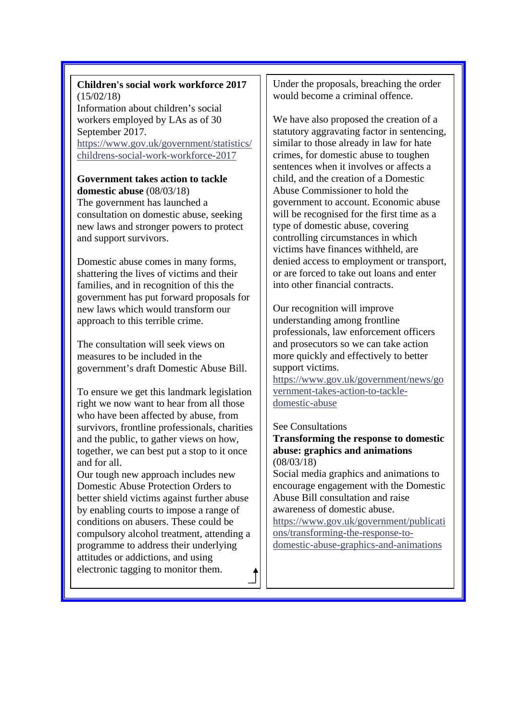#### **Children's social work workforce 2017** (15/02/18) Information about children's social workers employed by LAs as of 30

September 2017. [https://www.gov.uk/government/statistics/](https://www.gov.uk/government/statistics/childrens-social-work-workforce-2017) [childrens-social-work-workforce-2017](https://www.gov.uk/government/statistics/childrens-social-work-workforce-2017)

# **Government takes action to tackle**

**domestic abuse** (08/03/18) The government has launched a consultation on domestic abuse, seeking new laws and stronger powers to protect and support survivors.

Domestic abuse comes in many forms, shattering the lives of victims and their families, and in recognition of this the government has put forward proposals for new laws which would transform our approach to this terrible crime.

The consultation will seek views on measures to be included in the government's draft Domestic Abuse Bill.

To ensure we get this landmark legislation right we now want to hear from all those who have been affected by abuse, from survivors, frontline professionals, charities and the public, to gather views on how, together, we can best put a stop to it once and for all.

Our tough new approach includes new Domestic Abuse Protection Orders to better shield victims against further abuse by enabling courts to impose a range of conditions on abusers. These could be compulsory alcohol treatment, attending a programme to address their underlying attitudes or addictions, and using electronic tagging to monitor them.

Under the proposals, breaching the order would become a criminal offence.

We have also proposed the creation of a statutory aggravating factor in sentencing, similar to those already in law for hate crimes, for domestic abuse to toughen sentences when it involves or affects a child, and the creation of a Domestic Abuse Commissioner to hold the government to account. Economic abuse will be recognised for the first time as a type of domestic abuse, covering controlling circumstances in which victims have finances withheld, are denied access to employment or transport, or are forced to take out loans and enter into other financial contracts.

Our recognition will improve understanding among frontline professionals, law enforcement officers and prosecutors so we can take action more quickly and effectively to better support victims.

[https://www.gov.uk/government/news/go](https://www.gov.uk/government/news/government-takes-action-to-tackle-domestic-abuse) [vernment-takes-action-to-tackle](https://www.gov.uk/government/news/government-takes-action-to-tackle-domestic-abuse)[domestic-abuse](https://www.gov.uk/government/news/government-takes-action-to-tackle-domestic-abuse)

#### See Consultations

**Transforming the response to domestic abuse: graphics and animations** (08/03/18)

Social media graphics and animations to encourage engagement with the Domestic Abuse Bill consultation and raise awareness of domestic abuse.

[https://www.gov.uk/government/publicati](https://www.gov.uk/government/publications/transforming-the-response-to-domestic-abuse-graphics-and-animations) [ons/transforming-the-response-to](https://www.gov.uk/government/publications/transforming-the-response-to-domestic-abuse-graphics-and-animations)[domestic-abuse-graphics-and-animations](https://www.gov.uk/government/publications/transforming-the-response-to-domestic-abuse-graphics-and-animations)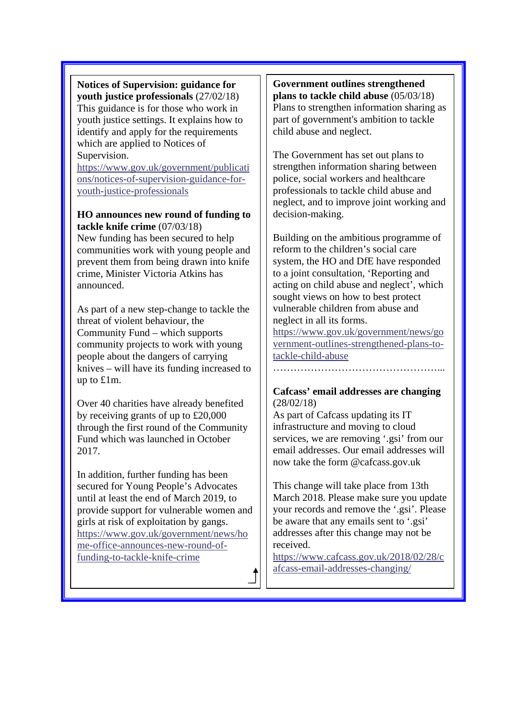**Notices of Supervision: guidance for youth justice professionals** (27/02/18) This guidance is for those who work in youth justice settings. It explains how to identify and apply for the requirements which are applied to Notices of Supervision.

[https://www.gov.uk/government/publicati](https://www.gov.uk/government/publications/notices-of-supervision-guidance-for-youth-justice-professionals) [ons/notices-of-supervision-guidance-for](https://www.gov.uk/government/publications/notices-of-supervision-guidance-for-youth-justice-professionals)[youth-justice-professionals](https://www.gov.uk/government/publications/notices-of-supervision-guidance-for-youth-justice-professionals)

#### **HO announces new round of funding to tackle knife crime** (07/03/18)

New funding has been secured to help communities work with young people and prevent them from being drawn into knife crime, Minister Victoria Atkins has announced.

As part of a new step-change to tackle the threat of violent behaviour, the Community Fund – which supports community projects to work with young people about the dangers of carrying knives – will have its funding increased to up to £1m.

Over 40 charities have already benefited by receiving grants of up to £20,000 through the first round of the Community Fund which was launched in October 2017.

In addition, further funding has been secured for Young People's Advocates until at least the end of March 2019, to provide support for vulnerable women and girls at risk of exploitation by gangs. [https://www.gov.uk/government/news/ho](https://www.gov.uk/government/news/home-office-announces-new-round-of-funding-to-tackle-knife-crime) [me-office-announces-new-round-of](https://www.gov.uk/government/news/home-office-announces-new-round-of-funding-to-tackle-knife-crime)[funding-to-tackle-knife-crime](https://www.gov.uk/government/news/home-office-announces-new-round-of-funding-to-tackle-knife-crime)

#### **Government outlines strengthened plans to tackle child abuse** (05/03/18) Plans to strengthen information sharing as part of government's ambition to tackle child abuse and neglect.

The Government has set out plans to strengthen information sharing between police, social workers and healthcare professionals to tackle child abuse and neglect, and to improve joint working and decision-making.

Building on the ambitious programme of reform to the children's social care system, the HO and DfE have responded to a joint consultation, 'Reporting and acting on child abuse and neglect', which sought views on how to best protect vulnerable children from abuse and neglect in all its forms.

[https://www.gov.uk/government/news/go](https://www.gov.uk/government/news/government-outlines-strengthened-plans-to-tackle-child-abuse) [vernment-outlines-strengthened-plans-to](https://www.gov.uk/government/news/government-outlines-strengthened-plans-to-tackle-child-abuse)[tackle-child-abuse](https://www.gov.uk/government/news/government-outlines-strengthened-plans-to-tackle-child-abuse)

#### **Cafcass' email addresses are changing** (28/02/18)

As part of Cafcass updating its IT infrastructure and moving to cloud services, we are removing '.gsi' from our email addresses. Our email addresses will now take the form @cafcass.gov.uk

This change will take place from 13th March 2018. Please make sure you update your records and remove the '.gsi'. Please be aware that any emails sent to '.gsi' addresses after this change may not be received.

[https://www.cafcass.gov.uk/2018/02/28/c](https://www.cafcass.gov.uk/2018/02/28/cafcass-email-addresses-changing/) [afcass-email-addresses-changing/](https://www.cafcass.gov.uk/2018/02/28/cafcass-email-addresses-changing/)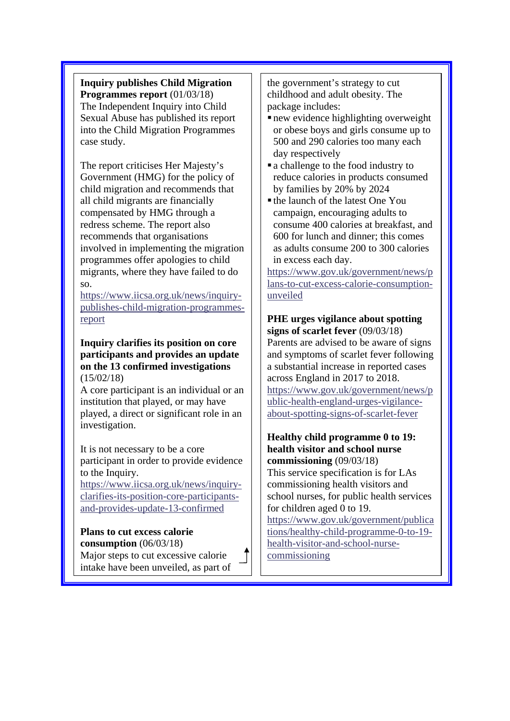**Inquiry publishes Child Migration Programmes report** (01/03/18) The Independent Inquiry into Child Sexual Abuse has published its report into the Child Migration Programmes case study.

The report criticises Her Majesty's Government (HMG) for the policy of child migration and recommends that all child migrants are financially compensated by HMG through a redress scheme. The report also recommends that organisations involved in implementing the migration programmes offer apologies to child migrants, where they have failed to do so.

[https://www.iicsa.org.uk/news/inquiry](https://www.iicsa.org.uk/news/inquiry-publishes-child-migration-programmes-report)[publishes-child-migration-programmes](https://www.iicsa.org.uk/news/inquiry-publishes-child-migration-programmes-report)[report](https://www.iicsa.org.uk/news/inquiry-publishes-child-migration-programmes-report)

**Inquiry clarifies its position on core participants and provides an update on the 13 confirmed investigations** (15/02/18)

A core participant is an individual or an institution that played, or may have played, a direct or significant role in an investigation.

It is not necessary to be a core participant in order to provide evidence to the Inquiry.

[https://www.iicsa.org.uk/news/inquiry](https://www.iicsa.org.uk/news/inquiry-clarifies-its-position-core-participants-and-provides-update-13-confirmed)[clarifies-its-position-core-participants](https://www.iicsa.org.uk/news/inquiry-clarifies-its-position-core-participants-and-provides-update-13-confirmed)[and-provides-update-13-confirmed](https://www.iicsa.org.uk/news/inquiry-clarifies-its-position-core-participants-and-provides-update-13-confirmed)

#### **Plans to cut excess calorie consumption** (06/03/18)

Major steps to cut excessive calorie intake have been unveiled, as part of the government's strategy to cut childhood and adult obesity. The package includes:

- new evidence highlighting overweight or obese boys and girls consume up to 500 and 290 calories too many each day respectively
- a challenge to the food industry to reduce calories in products consumed by families by 20% by 2024
- the launch of the latest One You campaign, encouraging adults to consume 400 calories at breakfast, and 600 for lunch and dinner; this comes as adults consume 200 to 300 calories in excess each day.

[https://www.gov.uk/government/news/p](https://www.gov.uk/government/news/plans-to-cut-excess-calorie-consumption-unveiled) [lans-to-cut-excess-calorie-consumption](https://www.gov.uk/government/news/plans-to-cut-excess-calorie-consumption-unveiled)[unveiled](https://www.gov.uk/government/news/plans-to-cut-excess-calorie-consumption-unveiled)

## **PHE urges vigilance about spotting signs of scarlet fever** (09/03/18) Parents are advised to be aware of signs and symptoms of scarlet fever following a substantial increase in reported cases across England in 2017 to 2018. [https://www.gov.uk/government/news/p](https://www.gov.uk/government/news/public-health-england-urges-vigilance-about-spotting-signs-of-scarlet-fever)

[ublic-health-england-urges-vigilance](https://www.gov.uk/government/news/public-health-england-urges-vigilance-about-spotting-signs-of-scarlet-fever)[about-spotting-signs-of-scarlet-fever](https://www.gov.uk/government/news/public-health-england-urges-vigilance-about-spotting-signs-of-scarlet-fever)

**Healthy child programme 0 to 19: health visitor and school nurse commissioning** (09/03/18) This service specification is for LAs commissioning health visitors and school nurses, for public health services for children aged 0 to 19. [https://www.gov.uk/government/publica](https://www.gov.uk/government/publications/healthy-child-programme-0-to-19-health-visitor-and-school-nurse-commissioning) [tions/healthy-child-programme-0-to-19](https://www.gov.uk/government/publications/healthy-child-programme-0-to-19-health-visitor-and-school-nurse-commissioning) [health-visitor-and-school-nurse](https://www.gov.uk/government/publications/healthy-child-programme-0-to-19-health-visitor-and-school-nurse-commissioning)[commissioning](https://www.gov.uk/government/publications/healthy-child-programme-0-to-19-health-visitor-and-school-nurse-commissioning)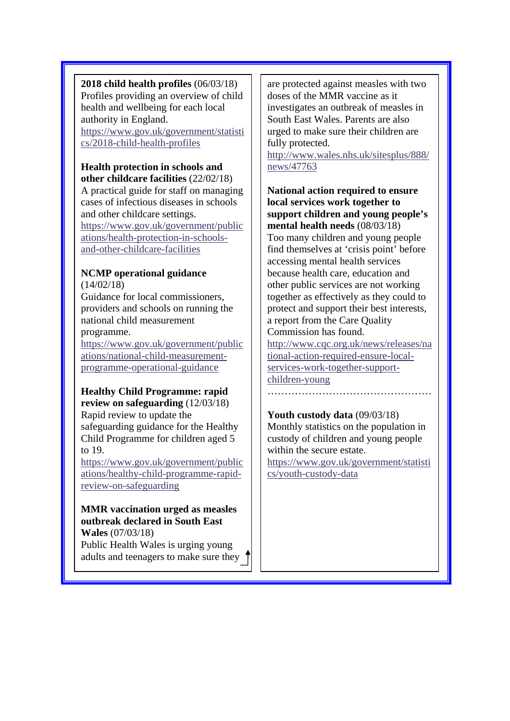**2018 child health profiles** (06/03/18) Profiles providing an overview of child health and wellbeing for each local authority in England. [https://www.gov.uk/government/statisti](https://www.gov.uk/government/statistics/2018-child-health-profiles) [cs/2018-child-health-profiles](https://www.gov.uk/government/statistics/2018-child-health-profiles)

# **Health protection in schools and**

**other childcare facilities** (22/02/18) A practical guide for staff on managing cases of infectious diseases in schools and other childcare settings. [https://www.gov.uk/government/public](https://www.gov.uk/government/publications/health-protection-in-schools-and-other-childcare-facilities) [ations/health-protection-in-schools](https://www.gov.uk/government/publications/health-protection-in-schools-and-other-childcare-facilities)[and-other-childcare-facilities](https://www.gov.uk/government/publications/health-protection-in-schools-and-other-childcare-facilities)

#### **NCMP operational guidance**  $(14/02/18)$

Guidance for local commissioners, providers and schools on running the national child measurement

### programme.

[https://www.gov.uk/government/public](https://www.gov.uk/government/publications/national-child-measurement-programme-operational-guidance) [ations/national-child-measurement](https://www.gov.uk/government/publications/national-child-measurement-programme-operational-guidance)[programme-operational-guidance](https://www.gov.uk/government/publications/national-child-measurement-programme-operational-guidance)

#### **Healthy Child Programme: rapid review on safeguarding** (12/03/18)

Rapid review to update the safeguarding guidance for the Healthy Child Programme for children aged 5 to 19.

[https://www.gov.uk/government/public](https://www.gov.uk/government/publications/healthy-child-programme-rapid-review-on-safeguarding) [ations/healthy-child-programme-rapid](https://www.gov.uk/government/publications/healthy-child-programme-rapid-review-on-safeguarding)[review-on-safeguarding](https://www.gov.uk/government/publications/healthy-child-programme-rapid-review-on-safeguarding)

#### **MMR vaccination urged as measles outbreak declared in South East Wales** (07/03/18)

Public Health Wales is urging young adults and teenagers to make sure they are protected against measles with two doses of the MMR vaccine as it investigates an outbreak of measles in South East Wales. Parents are also urged to make sure their children are fully protected.

[http://www.wales.nhs.uk/sitesplus/888/](http://www.wales.nhs.uk/sitesplus/888/news/47763) [news/47763](http://www.wales.nhs.uk/sitesplus/888/news/47763)

**National action required to ensure local services work together to support children and young people's mental health needs** (08/03/18) Too many children and young people find themselves at 'crisis point' before accessing mental health services because health care, education and other public services are not working together as effectively as they could to protect and support their best interests, a report from the Care Quality Commission has found. [http://www.cqc.org.uk/news/releases/na](http://www.cqc.org.uk/news/releases/national-action-required-ensure-local-services-work-together-support-children-young) [tional-action-required-ensure-local](http://www.cqc.org.uk/news/releases/national-action-required-ensure-local-services-work-together-support-children-young)[services-work-together-support](http://www.cqc.org.uk/news/releases/national-action-required-ensure-local-services-work-together-support-children-young)[children-young](http://www.cqc.org.uk/news/releases/national-action-required-ensure-local-services-work-together-support-children-young)

# …………………………………………

**Youth custody data** (09/03/18) Monthly statistics on the population in custody of children and young people within the secure estate. [https://www.gov.uk/government/statisti](https://www.gov.uk/government/statistics/youth-custody-data)

[cs/youth-custody-data](https://www.gov.uk/government/statistics/youth-custody-data)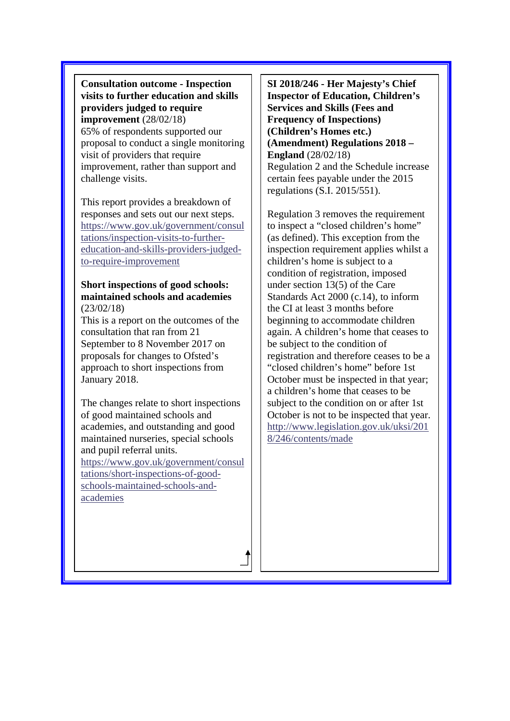**Consultation outcome - Inspection visits to further education and skills providers judged to require improvement** (28/02/18) 65% of respondents supported our proposal to conduct a single monitoring visit of providers that require improvement, rather than support and challenge visits.

This report provides a breakdown of responses and sets out our next steps. [https://www.gov.uk/government/consul](https://www.gov.uk/government/consultations/inspection-visits-to-further-education-and-skills-providers-judged-to-require-improvement) [tations/inspection-visits-to-further](https://www.gov.uk/government/consultations/inspection-visits-to-further-education-and-skills-providers-judged-to-require-improvement)[education-and-skills-providers-judged](https://www.gov.uk/government/consultations/inspection-visits-to-further-education-and-skills-providers-judged-to-require-improvement)[to-require-improvement](https://www.gov.uk/government/consultations/inspection-visits-to-further-education-and-skills-providers-judged-to-require-improvement)

#### **Short inspections of good schools: maintained schools and academies** (23/02/18)

This is a report on the outcomes of the consultation that ran from 21 September to 8 November 2017 on proposals for changes to Ofsted's approach to short inspections from January 2018.

The changes relate to short inspections of good maintained schools and academies, and outstanding and good maintained nurseries, special schools and pupil referral units.

[https://www.gov.uk/government/consul](https://www.gov.uk/government/consultations/short-inspections-of-good-schools-maintained-schools-and-academies) [tations/short-inspections-of-good](https://www.gov.uk/government/consultations/short-inspections-of-good-schools-maintained-schools-and-academies)[schools-maintained-schools-and](https://www.gov.uk/government/consultations/short-inspections-of-good-schools-maintained-schools-and-academies)[academies](https://www.gov.uk/government/consultations/short-inspections-of-good-schools-maintained-schools-and-academies)

**SI 2018/246 - Her Majesty's Chief Inspector of Education, Children's Services and Skills (Fees and Frequency of Inspections) (Children's Homes etc.) (Amendment) Regulations 2018 – England** (28/02/18) Regulation 2 and the Schedule increase certain fees payable under the 2015 regulations (S.I. 2015/551).

Regulation 3 removes the requirement to inspect a "closed children's home" (as defined). This exception from the inspection requirement applies whilst a children's home is subject to a condition of registration, imposed under section 13(5) of the Care Standards Act 2000 (c.14), to inform the CI at least 3 months before beginning to accommodate children again. A children's home that ceases to be subject to the condition of registration and therefore ceases to be a "closed children's home" before 1st October must be inspected in that year; a children's home that ceases to be subject to the condition on or after 1st October is not to be inspected that year. [http://www.legislation.gov.uk/uksi/201](http://www.legislation.gov.uk/uksi/2018/246/contents/made) [8/246/contents/made](http://www.legislation.gov.uk/uksi/2018/246/contents/made)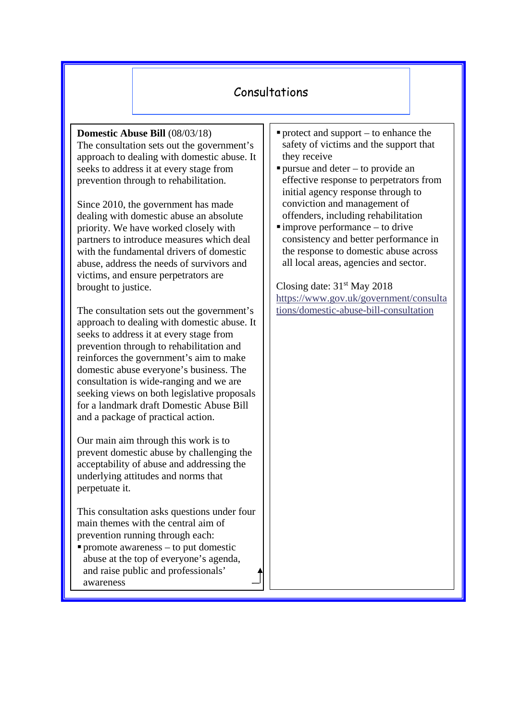# Consultations

**Domestic Abuse Bill** (08/03/18) The consultation sets out the government's approach to dealing with domestic abuse. It seeks to address it at every stage from prevention through to rehabilitation.

Since 2010, the government has made dealing with domestic abuse an absolute priority. We have worked closely with partners to introduce measures which deal with the fundamental drivers of domestic abuse, address the needs of survivors and victims, and ensure perpetrators are brought to justice.

The consultation sets out the government's approach to dealing with domestic abuse. It seeks to address it at every stage from prevention through to rehabilitation and reinforces the government's aim to make domestic abuse everyone's business. The consultation is wide-ranging and we are seeking views on both legislative proposals for a landmark draft Domestic Abuse Bill and a package of practical action.

Our main aim through this work is to prevent domestic abuse by challenging the acceptability of abuse and addressing the underlying attitudes and norms that perpetuate it.

This consultation asks questions under four main themes with the central aim of prevention running through each:

 $\blacksquare$  promote awareness – to put domestic abuse at the top of everyone's agenda, and raise public and professionals' awareness

- protect and support  $-$  to enhance the safety of victims and the support that they receive
- $\blacksquare$  pursue and deter to provide an effective response to perpetrators from initial agency response through to conviction and management of offenders, including rehabilitation
- $\blacksquare$ improve performance to drive consistency and better performance in the response to domestic abuse across all local areas, agencies and sector.

Closing date: 31st May 2018 [https://www.gov.uk/government/consulta](https://www.gov.uk/government/consultations/domestic-abuse-bill-consultation) [tions/domestic-abuse-bill-consultation](https://www.gov.uk/government/consultations/domestic-abuse-bill-consultation)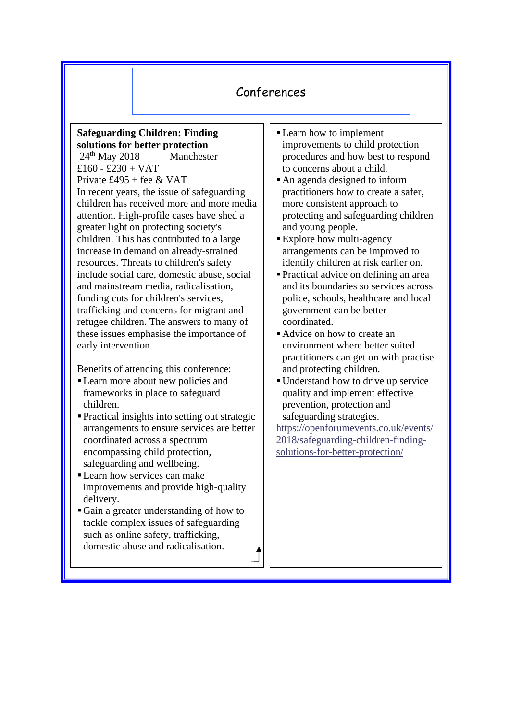# Conferences

#### **Safeguarding Children: Finding solutions for better protection**

24<sup>th</sup> May 2018 Manchester £160 - £230 + VAT Private  $£495 +$  fee & VAT In recent years, the issue of safeguarding children has received more and more media attention. High-profile cases have shed a greater light on protecting society's children. This has contributed to a large increase in demand on already-strained resources. Threats to children's safety include social care, domestic abuse, social and mainstream media, radicalisation, funding cuts for children's services, trafficking and concerns for migrant and refugee children. The answers to many of these issues emphasise the importance of early intervention.

Benefits of attending this conference:

- Learn more about new policies and frameworks in place to safeguard children.
- Practical insights into setting out strategic arrangements to ensure services are better coordinated across a spectrum encompassing child protection, safeguarding and wellbeing.
- Learn how services can make improvements and provide high-quality delivery.
- Gain a greater understanding of how to tackle complex issues of safeguarding such as online safety, trafficking, domestic abuse and radicalisation.
- Learn how to implement improvements to child protection procedures and how best to respond to concerns about a child.
- An agenda designed to inform practitioners how to create a safer, more consistent approach to protecting and safeguarding children and young people.
- **Explore how multi-agency** arrangements can be improved to identify children at risk earlier on.
- Practical advice on defining an area and its boundaries so services across police, schools, healthcare and local government can be better coordinated.
- Advice on how to create an environment where better suited practitioners can get on with practise and protecting children.
- Understand how to drive up service quality and implement effective prevention, protection and safeguarding strategies.

[https://openforumevents.co.uk/events/](https://openforumevents.co.uk/events/2018/safeguarding-children-finding-solutions-for-better-protection/) [2018/safeguarding-children-finding](https://openforumevents.co.uk/events/2018/safeguarding-children-finding-solutions-for-better-protection/)[solutions-for-better-protection/](https://openforumevents.co.uk/events/2018/safeguarding-children-finding-solutions-for-better-protection/)